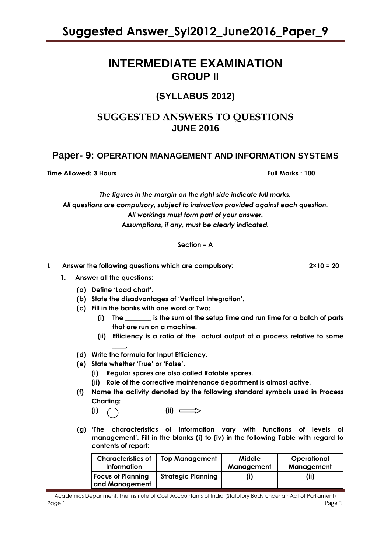### **INTERMEDIATE EXAMINATION GROUP II**

### **(SYLLABUS 2012)**

### **SUGGESTED ANSWERS TO QUESTIONS JUNE 2016**

### **Paper- 9: OPERATION MANAGEMENT AND INFORMATION SYSTEMS**

**Time Allowed: 3 Hours Full Marks : 100**

*The figures in the margin on the right side indicate full marks. All questions are compulsory, subject to instruction provided against each question. All workings must form part of your answer. Assumptions, if any, must be clearly indicated.*

#### **Section – A**

| Answer the following questions which are compulsory: | $2 \times 10 = 20$ |
|------------------------------------------------------|--------------------|

- **1. Answer all the questions:** 
	- **(a) Define 'Load chart'.**
	- **(b) State the disadvantages of 'Vertical Integration'.**
	- **(c) Fill in the banks with one word or Two:**
		- **(i) The \_\_\_\_\_\_\_\_ is the sum of the setup time and run time for a batch of parts that are run on a machine.**
		- **(ii) Efficiency is a ratio of the actual output of a process relative to some \_\_\_\_.**
	- **(d) Write the formula for Input Efficiency.**
	- **(e) State whether 'True' or 'False'.**
		- **(i) Regular spares are also called Rotable spares.**
		- **(ii) Role of the corrective maintenance department is almost active.**
	- **(f) Name the activity denoted by the following standard symbols used in Process Charting:**

**(i) (ii)** 

**(g) 'The characteristics of information vary with functions of levels of management'. Fill in the blanks (i) to (iv) in the following Table with regard to contents of report:** 

| <b>Characteristics of</b>                  | <b>Top Management</b>     | Middle     | Operational |
|--------------------------------------------|---------------------------|------------|-------------|
| Information                                |                           | Management | Management  |
| <b>Focus of Planning</b><br>and Management | <b>Strategic Planning</b> |            | (ii)        |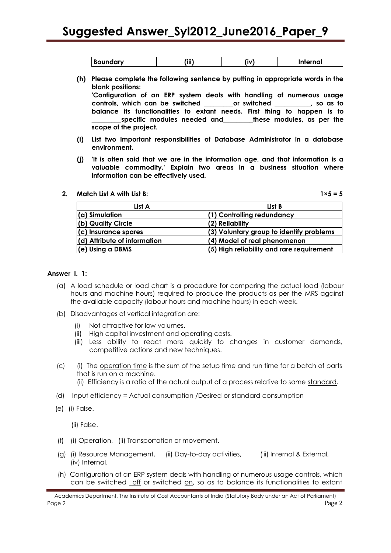| <b>Boundary</b> | (iii) | ïv. | ternal |
|-----------------|-------|-----|--------|
|-----------------|-------|-----|--------|

- **(h) Please complete the following sentence by putting in appropriate words in the blank positions: 'Configuration of an ERP system deals with handling of numerous usage controls, which can be switched \_\_\_\_\_\_\_\_\_or switched \_\_\_\_\_\_\_\_\_\_\_, so as to balance its functionalities to extant needs. First thing to happen is to \_\_\_\_\_\_\_\_\_specific modules needed and\_\_\_\_\_\_\_\_\_these modules, as per the scope of the project.**
- **(i) List two important responsibilities of Database Administrator in a database environment.**
- **(j) 'It is often said that we are in the information age, and that information is a valuable commodity.' Explain two areas in a business situation where information can be effectively used.**

#### **2. Match List A with List B: 1×5 = 5**

| List A                       | List B                                      |
|------------------------------|---------------------------------------------|
| $(\alpha)$ Simulation        | (1) Controlling redundancy                  |
| (b) Quality Circle           | $(2)$ Reliability                           |
| $(c)$ Insurance spares       | (3) Voluntary group to identify problems    |
| (d) Attribute of information | (4) Model of real phenomenon                |
| $(e)$ Using a DBMS           | $(5)$ High reliability and rare requirement |

#### **Answer I. 1:**

- (a) A load schedule or load chart is a procedure for comparing the actual load (labour hours and machine hours) required to produce the products as per the MRS against the available capacity (labour hours and machine hours) in each week.
- (b) Disadvantages of vertical integration are:
	- (i) Not attractive for low volumes.
	- (ii) High capital investment and operating costs.
	- (iii) Less ability to react more quickly to changes in customer demands, competitive actions and new techniques.
- (c) (i) The operation time is the sum of the setup time and run time for a batch of parts that is run on a machine.
	- (ii) Efficiency is a ratio of the actual output of a process relative to some standard.
- (d) Input efficiency = Actual consumption /Desired or standard consumption
- (e) (i) False.

(ii) False.

- (f) (i) Operation, (ii) Transportation or movement.
- (g) (i) Resource Management, (ii) Day-to-day activities, (iii) Internal & External, (iv) Internal.
- (h) Configuration of an ERP system deals with handling of numerous usage controls, which can be switched off or switched on, so as to balance its functionalities to extant

Academics Department, The Institute of Cost Accountants of India (Statutory Body under an Act of Parliament) Page 2 Page 2 Page 2 Page 2 Page 2 Page 2 Page 2 Page 2 Page 2 Page 2 Page 2 Page 2 Page 2 Page 2 Page 2 Page 2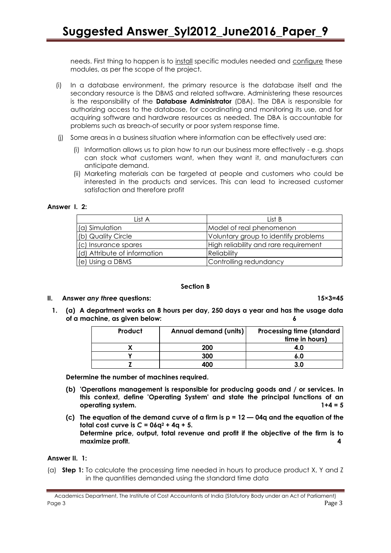needs. First thing to happen is to install specific modules needed and configure these modules, as per the scope of the project.

- (i) In a database environment, the primary resource is the database itself and the secondary resource is the DBMS and related software. Administering these resources is the responsibility of the **Database Administrator** (DBA). The DBA is responsible for authorizing access to the database, for coordinating and monitoring its use, and for acquiring software and hardware resources as needed. The DBA is accountable for problems such as breach-of security or poor system response time.
- (j) Some areas in a business situation where information can be effectively used are:
	- (i) Information allows us to plan how to run our business more effectively e.g. shops can stock what customers want, when they want it, and manufacturers can anticipate demand.
	- (ii) Marketing materials can be targeted at people and customers who could be interested in the products and services. This can lead to increased customer satisfaction and therefore profit

#### **Answer I. 2:**

| List A                       | List B                                |
|------------------------------|---------------------------------------|
| (a) Simulation               | Model of real phenomenon              |
| (b) Quality Circle           | Voluntary group to identify problems  |
| (c) Insurance spares         | High reliability and rare requirement |
| (d) Attribute of information | Reliability                           |
| $(e)$ Using a DBMS           | Controlling redundancy                |

#### **Section B**

#### **II. Answer** *any three* **questions: 15×3=45**

**1. (a) A department works on 8 hours per day, 250 days a year and has the usage data of a machine, as given below: 6**

| Product | <b>Annual demand (units)</b> | <b>Processing time (standard</b><br>time in hours) |
|---------|------------------------------|----------------------------------------------------|
|         | 200                          | 4.0                                                |
|         | 300                          | 6.0                                                |
|         | 400                          | 3 O                                                |

**Determine the number of machines required.**

- **(b) 'Operations management is responsible for producing goods and / or services. In this context, define 'Operating System' and state the principal functions of an operating system. 1+4 = 5**
- **(c) The equation of the demand curve of a firm is p = 12 — 04q and the equation of the total cost curve is**  $C = 06q^2 + 4q + 5$ **. Determine price, output, total revenue and profit if the objective of the firm is to maximize profit. 4**

#### **Answer II. 1:**

(a) **Step 1:** To calculate the processing time needed in hours to produce product X, Y and Z in the quantities demanded using the standard time data

Academics Department, The Institute of Cost Accountants of India (Statutory Body under an Act of Parliament) Page 3 Page 2 Page 2 Page 2 Page 2 Page 2 Page 2 Page 2 Page 2 Page 2 Page 2 Page 2 Page 2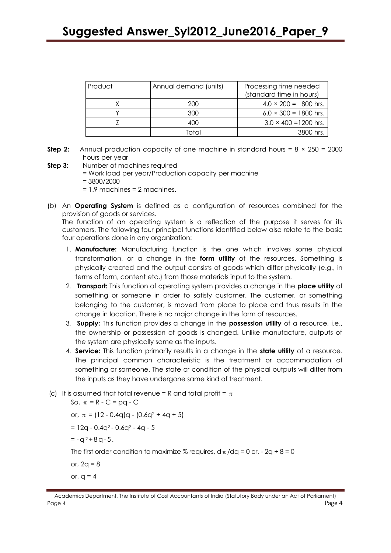| Product | Annual demand (units) | Processing time needed<br>(standard time in hours) |
|---------|-----------------------|----------------------------------------------------|
|         | 200                   | $4.0 \times 200 = 800$ hrs.                        |
|         | 300                   | $6.0 \times 300 = 1800$ hrs.                       |
|         | 400                   | $3.0 \times 400 = 1200$ hrs.                       |
|         | Total                 | 3800 hrs.                                          |

- **Step 2:** Annual production capacity of one machine in standard hours =  $8 \times 250 = 2000$ hours per year
- **Step 3:** Number of machines required
	- = Work load per year/Production capacity per machine
	- = 3800/2000
	- = 1.9 machines = 2 machines.
- (b) An **Operating System** is defined as a configuration of resources combined for the provision of goods or services.

The function of an operating system is a reflection of the purpose it serves for its customers. The following four principal functions identified below also relate to the basic four operations done in any organization:

- 1. **Manufacture:** Manufacturing function is the one which involves some physical transformation, or a change in the **form utility** of the resources. Something is physically created and the output consists of goods which differ physically (e.g., in terms of form, content etc.) from those materials input to the system.
- 2. **Transport:** This function of operating system provides a change in the **place utility** of something or someone in order to satisfy customer. The customer, or something belonging to the customer, is moved from place to place and thus results in the change in location. There is no major change in the form of resources.
- 3. **Supply:** This function provides a change in the **possession utility** of a resource, i.e., the ownership or possession of goods is changed. Unlike manufacture, outputs of the system are physically same as the inputs.
- 4. **Service:** This function primarily results in a change in the **state utility** of a resource. The principal common characteristic is the treatment or accommodation of something or someone. The state or condition of the physical outputs will differ from the inputs as they have undergone same kind of treatment.
- (c) It is assumed that total revenue = R and total profit =  $\pi$

So,  $\pi = R - C = pq - C$ 

or,  $\pi = (12 - 0.4q)q - (0.6q^2 + 4q + 5)$ 

- $= 12q 0.4q^{2} 0.6q^{2} 4q 5$
- $= -q^2 + 8q 5$ .

The first order condition to maximize % requires,  $d\pi/dq = 0$  or, - 2q + 8 = 0

or,  $2q = 8$ 

or,  $q = 4$ 

Academics Department, The Institute of Cost Accountants of India (Statutory Body under an Act of Parliament) Page 4 Page 4 Page 1 Page 1 Page 1 Page 1 Page 1 Page 1 Page 1 Page 1 Page 1 Page 1 Page 1 Page 1 Page 1 Page 1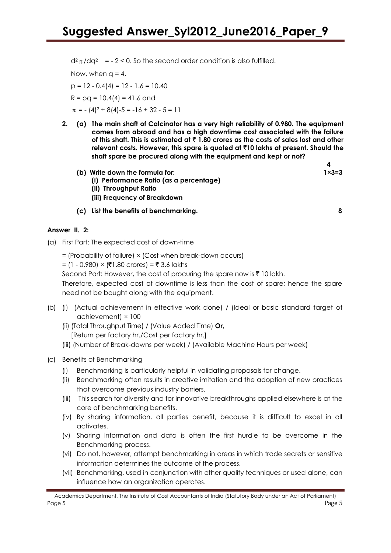$d^2 \pi / dq^2$  = - 2 < 0. So the second order condition is also fulfilled.

Now, when  $q = 4$ ,  $p = 12 - 0.4(4) = 12 - 1.6 = 10.40$ 

 $R = pq = 10.4(4) = 41.6$  and

 $\pi$  = - (4)<sup>2</sup> + 8(4)-5 = -16 + 32 - 5 = 11

**2. (a) The main shaft of Calcinator has a very high reliability of 0.980. The equipment comes from abroad and has a high downtime cost associated with the failure of this shaft. This is estimated at** ` **1.80 crores as the costs of sales lost and other relevant costs. However, this spare is quoted at** `**10 lakhs at present. Should the shaft spare be procured along with the equipment and kept or not?**

 **4**

- **(b) Write down the formula for: 1×3=3**
	- **(i) Performance Ratio (as a percentage)**
	- **(ii) Throughput Ratio**
	- **(iii) Frequency of Breakdown**
- **(c) List the benefits of benchmarking. 8**

#### **Answer II. 2:**

- (a) First Part: The expected cost of down-time
	- = (Probability of failure) × (Cost when break-down occurs)
	- = (1 0.980) × (₹1.80 crores) = ₹ 3.6 lakhs

Second Part: However, the cost of procuring the spare now is  $\bar{\tau}$  10 lakh.

Therefore, expected cost of downtime is less than the cost of spare; hence the spare need not be bought along with the equipment.

- (b) (i) (Actual achievement in effective work done) / (Ideal or basic standard target of achievement) × 100
	- (ii) (Total Throughput Time) / (Value Added Time) **Or,** [Return per factory hr./Cost per factory hr.]
	- (iii) (Number of Break-downs per week) / (Available Machine Hours per week)
- (c) Benefits of Benchmarking
	- (i) Benchmarking is particularly helpful in validating proposals for change.
	- (ii) Benchmarking often results in creative imitation and the adoption of new practices that overcome previous industry barriers.
	- (iii) This search for diversity and for innovative breakthroughs applied elsewhere is at the core of benchmarking benefits.
	- (iv) By sharing information, all parties benefit, because it is difficult to excel in all activates.
	- (v) Sharing information and data is often the first hurdle to be overcome in the Benchmarking process.
	- (vi) Do not, however, attempt benchmarking in areas in which trade secrets or sensitive information determines the outcome of the process.
	- (vii) Benchmarking, used in conjunction with other quality techniques or used alone, can influence how an organization operates.

Academics Department, The Institute of Cost Accountants of India (Statutory Body under an Act of Parliament) Page 5 Page 5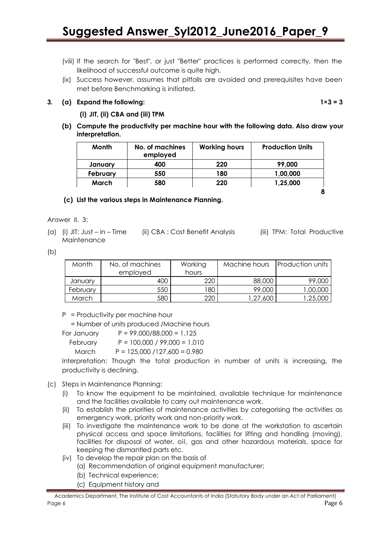- (viii) If the search for "Best", or just "Better" practices is performed correctly, then the likelihood of successful outcome is quite high.
- (ix) Success however, assumes that pitfalls are avoided and prerequisites have been met before Benchmarking is initiated.

#### **3. (a) Expand the following: 1×3 = 3**

#### **(i) JIT, (ii) CBA and (iii) TPM**

**(b) Compute the productivity per machine hour with the following data. Also draw your interpretation.** 

| Month    | No. of machines<br>employed | <b>Working hours</b> | <b>Production Units</b> |
|----------|-----------------------------|----------------------|-------------------------|
| January  | 400                         | 220                  | 99,000                  |
| February | 550                         | 180                  | 1,00,000                |
| March    | 580                         | 220                  | 1,25,000                |
|          |                             |                      |                         |

#### **(c) List the various steps in Maintenance Planning.**

Answer II. 3:

(a) (i) JIT: Just – in – Time (ii) CBA : Cost Benefit Analysis (iii) TPM: Total Productive Maintenance

 $(b)$ 

| Month    | No. of machines | Working | Machine hours | <b>Production units</b> |
|----------|-----------------|---------|---------------|-------------------------|
|          | employed        | hours   |               |                         |
| January  | 400             | 220     | 88,000        | 99,000                  |
| February | 550             | 180     | 99,000        | 1,00,000                |
| March    | 580             | 220     | 1,27,600      | 1,25,000                |

P = Productivity per machine hour

= Number of units produced /Machine hours

For January  $P = 99,000/88,000 = 1.125$  February P = 100,000 / 99,000 = 1.010 March P = 125,000 /127,600 = 0.980

Interpretation: Though the total production in number of units is increasing, the productivity is declining.

#### (c) Steps in Maintenance Planning:

- (i) To know the equipment to be maintained, available technique for maintenance and the facilities available to carry out maintenance work.
- (ii) To establish the priorities of maintenance activities by categorising the activities as emergency work, priority work and non-priority work.
- (iii) To investigate the maintenance work to be done at the workstation to ascertain physical access and space limitations, facilities for lifting and handling (moving), facilities for disposal of water, oil, gas and other hazardous materials, space for keeping the dismantled parts etc.
- (iv) To develop the repair plan on the basis of
	- (a) Recommendation of original equipment manufacturer;
	- (b) Technical experience;
	- (c) Equipment history and

Academics Department, The Institute of Cost Accountants of India (Statutory Body under an Act of Parliament) Page 6 Page 6 Page 1 Page 1 Page 1 Page 1 Page 1 Page 1 Page 1 Page 1 Page 1 Page 1 Page 1 Page 1 Page 1 Page 1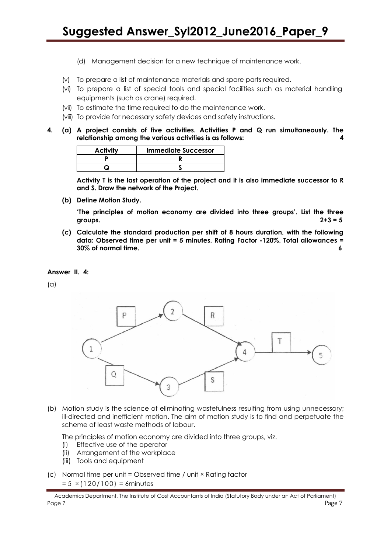- (d) Management decision for a new technique of maintenance work.
- (v) To prepare a list of maintenance materials and spare parts required.
- (vi) To prepare a list of special tools and special facilities such as material handling equipments (such as crane) required.
- (vii) To estimate the time required to do the maintenance work.
- (viii) To provide for necessary safety devices and safety instructions.
- **4. (a) A project consists of five activities. Activities P and Q run simultaneously. The relationship among the various activities is as follows: 4**

| <b>Activity</b> | <b>Immediate Successor</b> |
|-----------------|----------------------------|
|                 |                            |
|                 |                            |

**Activity T is the last operation of the project and it is also immediate successor to R and S. Draw the network of the Project.**

**(b) Define Motion Study.**

**'The principles of motion economy are divided into three groups'. List the three groups. 2+3 = 5**

**(c) Calculate the standard production per shift of 8 hours duration, with the following data: Observed time per unit = 5 minutes, Rating Factor -120%, Total allowances = 30% of normal time. 6**

#### **Answer II. 4:**

(a)



(b) Motion study is the science of eliminating wastefulness resulting from using unnecessary; ill-directed and inefficient motion. The aim of motion study is to find and perpetuate the scheme of least waste methods of labour.

The principles of motion economy are divided into three groups, viz.

- (i) Effective use of the operator
- (ii) Arrangement of the workplace
- (iii) Tools and equipment
- (c) Normal time per unit = Observed time / unit × Rating factor  $= 5 \times (120/100) = 6$ minutes

Academics Department, The Institute of Cost Accountants of India (Statutory Body under an Act of Parliament) Page 7 Page 7 Page 7 Page 7 Page 7 Page 7 Page 7 Page 7 Page 7 Page 7 Page 7 Page 7 Page 7 Page 7 Page 7 Page 7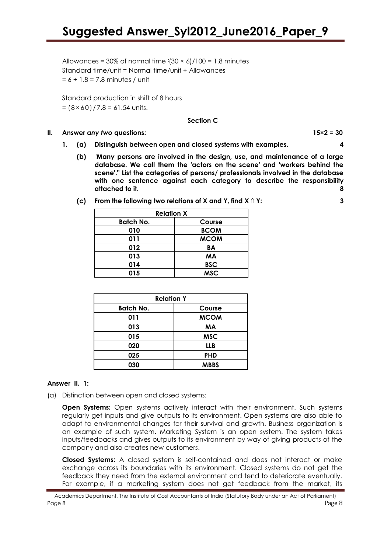Allowances =  $30\%$  of normal time  $\frac{1}{30} \times \frac{6}{100} = 1.8$  minutes Standard time/unit = Normal time/unit + Allowances  $= 6 + 1.8 = 7.8$  minutes / unit

Standard production in shift of 8 hours  $= (8 \times 60) / 7.8 = 61.54$  units.

#### **Section C**

#### **II. Answer** *any two* **questions: 15×2 = 30**

- **1. (a) Distinguish between open and closed systems with examples. 4**
	- **(b)** "**Many persons are involved in the design, use, and maintenance of a large database. We call them the 'actors on the scene' and 'workers behind the scene'." List the categories of persons/ professionals involved in the database with one sentence against each category to describe the responsibility attached to it. 8**
	- **(c) From the following two relations of X and Y, find X ∩ Y: 3**

| <b>Relation X</b> |             |  |
|-------------------|-------------|--|
| <b>Batch No.</b>  | Course      |  |
| 010               | <b>BCOM</b> |  |
| 011               | <b>MCOM</b> |  |
| 012               | BA          |  |
| 013               | <b>MA</b>   |  |
| 014               | <b>BSC</b>  |  |
| 015               | <b>MSC</b>  |  |

| <b>Relation Y</b> |             |  |
|-------------------|-------------|--|
| <b>Batch No.</b>  | Course      |  |
| 011               | <b>MCOM</b> |  |
| 013               | <b>MA</b>   |  |
| 015               | <b>MSC</b>  |  |
| 020               | <b>LLB</b>  |  |
| 025               | <b>PHD</b>  |  |
| 030               | <b>MBBS</b> |  |

#### **Answer II. 1:**

(a) Distinction between open and closed systems:

**Open Systems:** Open systems actively interact with their environment. Such systems regularly get inputs and give outputs to its environment. Open systems are also able to adapt to environmental changes for their survival and growth. Business organization is an example of such system. Marketing System is an open system. The system takes inputs/feedbacks and gives outputs to its environment by way of giving products of the company and also creates new customers.

**Closed Systems:** A closed system is self-contained and does not interact or make exchange across its boundaries with its environment. Closed systems do not get the feedback they need from the external environment and tend to deteriorate eventually. For example, if a marketing system does not get feedback from the market, its

Academics Department, The Institute of Cost Accountants of India (Statutory Body under an Act of Parliament) Page 8 Page 8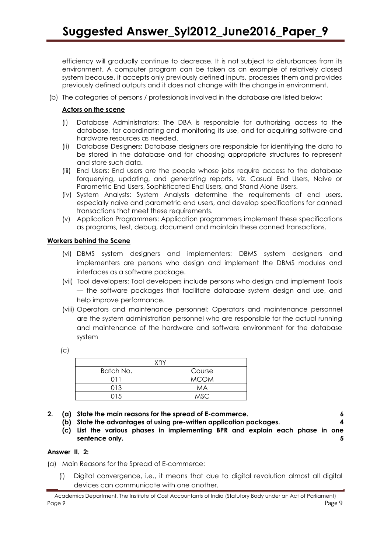efficiency will gradually continue to decrease. It is not subject to disturbances from its environment. A computer program can be taken as an example of relatively closed system because, it accepts only previously defined inputs, processes them and provides previously defined outputs and it does not change with the change in environment.

(b) The categories of persons / professionals involved in the database are listed below:

#### **Actors on the scene**

- (i) Database Administrators: The DBA is responsible for authorizing access to the database, for coordinating and monitoring its use, and for acquiring software and hardware resources as needed.
- (ii) Database Designers: Database designers are responsible for identifying the data to be stored in the database and for choosing appropriate structures to represent and store such data.
- (iii) End Users: End users are the people whose jobs require access to the database forquerying, updating, and generating reports, viz. Casual End Users, Naive or Parametric End Users, Sophisticated End Users, and Stand Alone Users.
- (iv) System Analysts: System Analysts determine the requirements of end users, especially naive and parametric end users, and develop specifications for canned transactions that meet these requirements.
- (v) Application Programmers: Application programmers implement these specifications as programs, test, debug, document and maintain these canned transactions.

#### **Workers behind the Scene**

- (vi) DBMS system designers and implementers: DBMS system designers and implementers are persons who design and implement the DBMS modules and interfaces as a software package.
- (vii) Tool developers: Tool developers include persons who design and implement Tools — the software packages that facilitate database system design and use, and help improve performance.
- (viii) Operators and maintenance personnel: Operators and maintenance personnel are the system administration personnel who are responsible for the actual running and maintenance of the hardware and software environment for the database system

| . .            |  |
|----------------|--|
| ۰.<br>. .<br>v |  |

| <b>XNY</b> |             |  |  |
|------------|-------------|--|--|
| Batch No.  | Course      |  |  |
| 01 I       | <b>MCOM</b> |  |  |
| 013        | MA          |  |  |
| 01.5       | MSC.        |  |  |

- **2. (a) State the main reasons for the spread of E-commerce. 6**
	- **(b) State the advantages of using pre-written application packages. 4**
	- **(c) List the various phases in implementing BPR and explain each phase in one sentence only.** 5

#### **Answer II. 2:**

- (a) Main Reasons for the Spread of E-commerce:
	- (i) Digital convergence, i.e., it means that due to digital revolution almost all digital devices can communicate with one another.

Academics Department, The Institute of Cost Accountants of India (Statutory Body under an Act of Parliament) Page 9 Page 9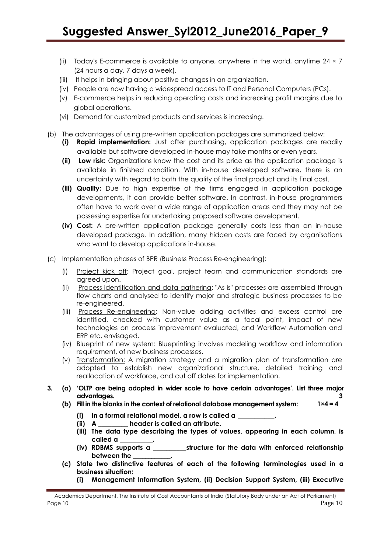- (ii) Today's E-commerce is available to anyone, anywhere in the world, anytime  $24 \times 7$ (24 hours a day, 7 days a week).
- (iii) It helps in bringing about positive changes in an organization.
- (iv) People are now having a widespread access to IT and Personal Computers (PCs).
- (v) E-commerce helps in reducing operating costs and increasing profit margins due to global operations.
- (vi) Demand for customized products and services is increasing.
- (b) The advantages of using pre-written application packages are summarized below:
	- **(i) Rapid implementation:** Just after purchasing, application packages are readily available but software developed in-house may take months or even years.
	- **(ii) Low risk:** Organizations know the cost and its price as the application package is available in finished condition. With in-house developed software, there is an uncertainty with regard to both the quality of the final product and its final cost.
	- **(iii) Quality:** Due to high expertise of the firms engaged in application package developments, it can provide better software. In contrast, in-house programmers often have to work over a wide range of application areas and they may not be possessing expertise for undertaking proposed software development.
	- **(iv) Cost:** A pre-written application package generally costs less than an in-house developed package. In addition, many hidden costs are faced by organisations who want to develop applications in-house.
- (c) Implementation phases of BPR (Business Process Re-engineering):
	- (i) Project kick off: Project goal, project team and communication standards are agreed upon.
	- (ii) Process identification and data gathering: "As is" processes are assembled through flow charts and analysed to identify major and strategic business processes to be re-engineered.
	- (iii) Process Re-engineering: Non-value adding activities and excess control are identified, checked with customer value as a focal point, impact of new technologies on process improvement evaluated, and Workflow Automation and ERP etc. envisaged.
	- (iv) Blueprint of new system: Blueprinting involves modeling workflow and information requirement, of new business processes.
	- (v) Transformation: A migration strategy and a migration plan of transformation are adopted to establish new organizational structure, detailed training and reallocation of workforce, and cut off dates for implementation.
- **3. (a) 'OLTP are being adopted in wider scale to have certain advantages'. List three major advantages. 3**
	- **(b) Fill in the blanks in the context of relational database management system: 1×4 = 4**
		- **(i) In a formal relational model, a row is called a \_\_\_\_\_\_\_\_\_\_\_.**
		- **(ii) A \_\_\_\_\_\_\_\_\_ header is called an attribute.**
		- **(iii) The data type describing the types of values, appearing in each column, is called a \_\_\_\_\_\_\_\_\_\_.**
		- **(iv) RDBMS supports a \_\_\_\_\_\_\_\_\_\_structure for the data with enforced relationship between the \_\_\_\_\_\_\_\_\_\_\_\_.**
	- **(c) State two distinctive features of each of the following terminologies used in a business situation:**
		- **(i) Management Information System, (ii) Decision Support System, (iii) Executive**

Academics Department, The Institute of Cost Accountants of India (Statutory Body under an Act of Parliament) Page 10 **Page 10** Page 10 **Page 10** Page 10 **Page 10** Page 10 **Page 10** Page 10